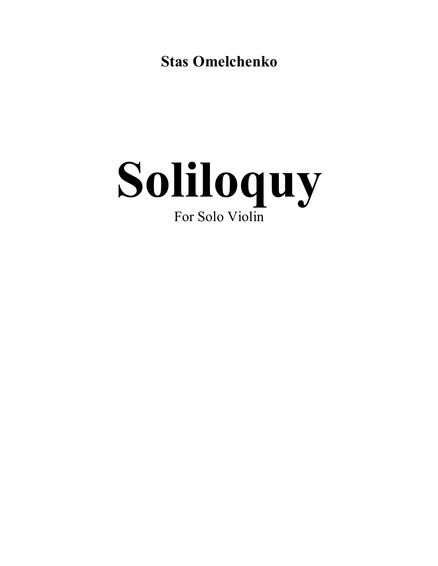**Stas Omelchenko** 

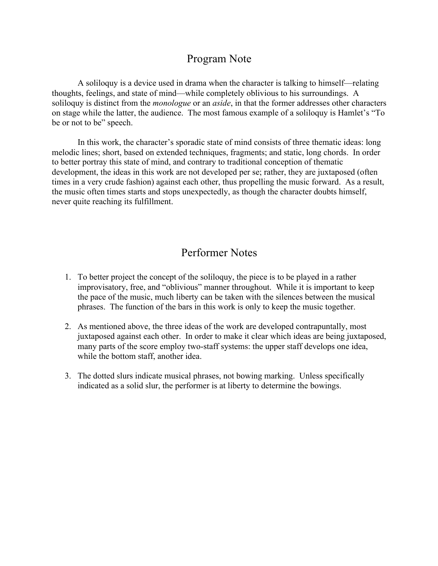## Program Note

A soliloquy is a device used in drama when the character is talking to himself—relating thoughts, feelings, and state of mind—while completely oblivious to his surroundings. A soliloquy is distinct from the *monologue* or an *aside*, in that the former addresses other characters on stage while the latter, the audience. The most famous example of a soliloquy is Hamlet's "To be or not to be" speech.

In this work, the character's sporadic state of mind consists of three thematic ideas: long melodic lines; short, based on extended techniques, fragments; and static, long chords. In order to better portray this state of mind, and contrary to traditional conception of thematic development, the ideas in this work are not developed per se; rather, they are juxtaposed (often times in a very crude fashion) against each other, thus propelling the music forward. As a result, the music often times starts and stops unexpectedly, as though the character doubts himself, never quite reaching its fulfillment.

## Performer Notes

- 1. To better project the concept of the soliloquy, the piece is to be played in a rather improvisatory, free, and "oblivious" manner throughout. While it is important to keep the pace of the music, much liberty can be taken with the silences between the musical phrases. The function of the bars in this work is only to keep the music together.
- 2. As mentioned above, the three ideas of the work are developed contrapuntally, most juxtaposed against each other. In order to make it clear which ideas are being juxtaposed, many parts of the score employ two-staff systems: the upper staff develops one idea, while the bottom staff, another idea.
- 3. The dotted slurs indicate musical phrases, not bowing marking. Unless specifically indicated as a solid slur, the performer is at liberty to determine the bowings.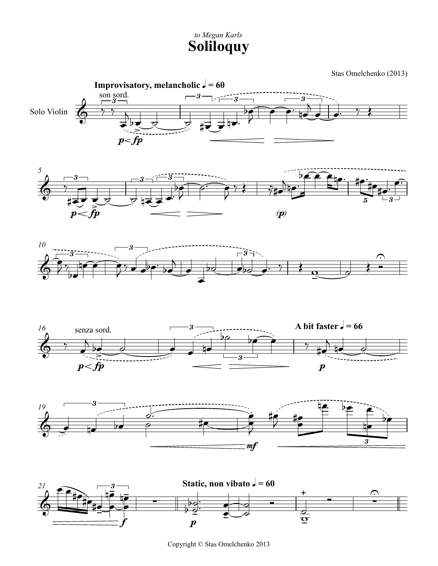## **Soliloquy** *to Megan Karls*

Stas Omelchenko (2013)













Copyright © Stas Omelchenko 2013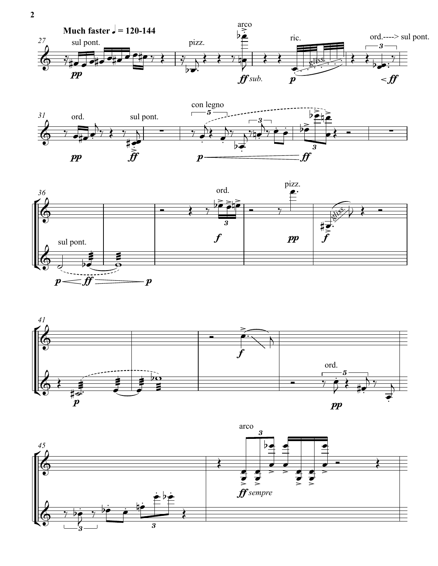







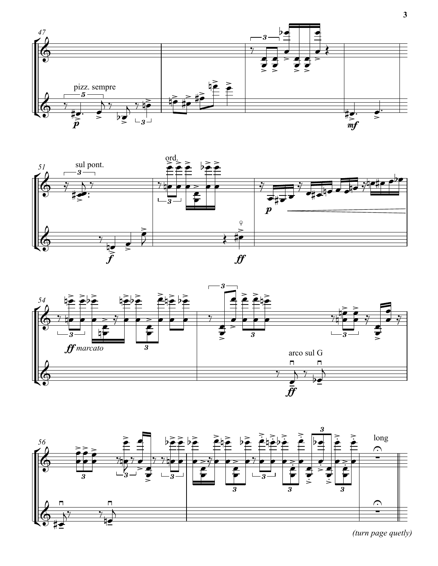







(turn page quetly)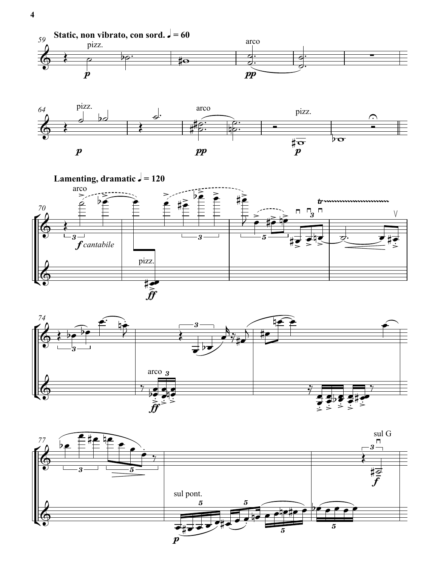







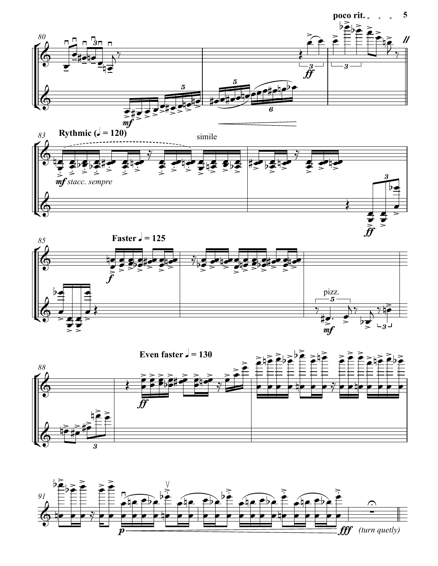









 $\sqrt{5}$